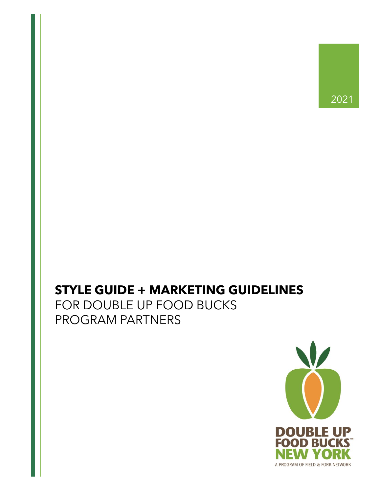# **STYLE GUIDE + MARKETING GUIDELINES**

FOR DOUBLE UP FOOD BUCKS PROGRAM PARTNERS

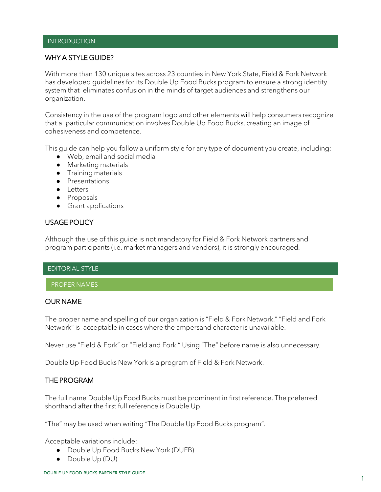#### INTRODUCTION

#### WHY A STYLE GUIDE?

With more than 130 unique sites across 23 counties in New York State, Field & Fork Network has developed guidelines for its Double Up Food Bucks program to ensure a strong identity system that eliminates confusion in the minds of target audiences and strengthens our organization.

Consistency in the use of the program logo and other elements will help consumers recognize that a particular communication involves Double Up Food Bucks, creating an image of cohesiveness and competence.

This guide can help you follow a uniform style for any type of document you create, including:

- Web, email and social media
- Marketing materials
- Training materials
- Presentations
- Letters
- Proposals
- Grant applications

#### USAGE POLICY

Although the use of this guide is not mandatory for Field & Fork Network partners and program participants (i.e. market managers and vendors), it is strongly encouraged.

#### EDITORIAL STYLE

#### PROPER NAMES

#### OUR NAME

The proper name and spelling of our organization is "Field & Fork Network." "Field and Fork Network" is acceptable in cases where the ampersand character is unavailable.

Never use "Field & Fork" or "Field and Fork." Using "The" before name is also unnecessary.

Double Up Food Bucks New York is a program of Field & Fork Network.

#### THE PROGRAM

The full name Double Up Food Bucks must be prominent in first reference. The preferred shorthand after the first full reference is Double Up.

"The" may be used when writing "The Double Up Food Bucks program".

Acceptable variations include:

- Double Up Food Bucks New York (DUFB)
- Double Up (DU)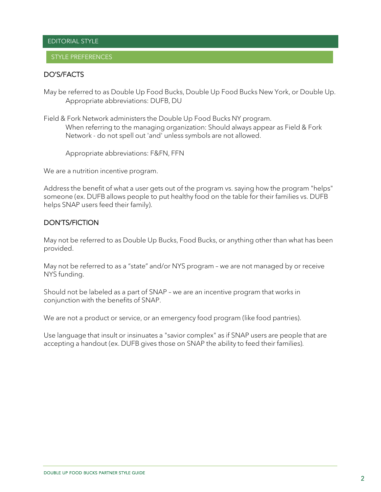### EDITORIAL STYLE

#### STYLE PREFERENCES

#### DO'S/FACTS

May be referred to as Double Up Food Bucks, Double Up Food Bucks New York, or Double Up. Appropriate abbreviations: DUFB, DU

Field & Fork Network administers the Double Up Food Bucks NY program. When referring to the managing organization: Should always appear as Field & Fork Network - do not spell out 'and' unless symbols are not allowed.

Appropriate abbreviations: F&FN, FFN

We are a nutrition incentive program.

Address the benefit of what a user gets out of the program vs. saying how the program "helps" someone (ex. DUFB allows people to put healthy food on the table for their families vs. DUFB helps SNAP users feed their family).

# DON'TS/FICTION

May not be referred to as Double Up Bucks, Food Bucks, or anything other than what has been provided.

May not be referred to as a "state" and/or NYS program – we are not managed by or receive NYS funding.

Should not be labeled as a part of SNAP – we are an incentive program that works in conjunction with the benefits of SNAP.

We are not a product or service, or an emergency food program (like food pantries).

Use language that insult or insinuates a "savior complex" as if SNAP users are people that are accepting a handout (ex. DUFB gives those on SNAP the ability to feed their families).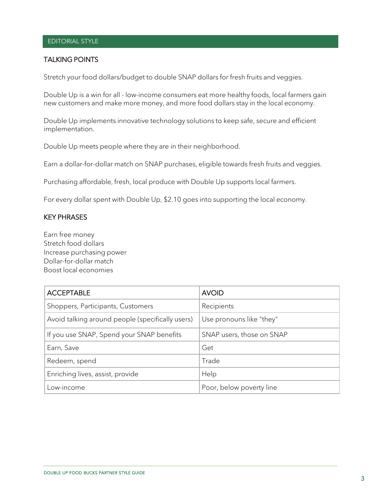# EDITORIAL STYLE

# TALKING POINTS

Stretch your food dollars/budget to double SNAP dollars for fresh fruits and veggies.

Double Up is a win for all - low-income consumers eat more healthy foods, local farmers gain new customers and make more money, and more food dollars stay in the local economy.

Double Up implements innovative technology solutions to keep safe, secure and efficient implementation.

Double Up meets people where they are in their neighborhood.

Earn a dollar-for-dollar match on SNAP purchases, eligible towards fresh fruits and veggies.

Purchasing affordable, fresh, local produce with Double Up supports local farmers.

For every dollar spent with Double Up, \$2.10 goes into supporting the local economy.

# KEY PHRASES

Earn free money Stretch food dollars Increase purchasing power Dollar-for-dollar match Boost local economies

| <b>ACCEPTABLE</b>                                | <b>AVOID</b>              |  |
|--------------------------------------------------|---------------------------|--|
| Shoppers, Participants, Customers                | Recipients                |  |
| Avoid talking around people (specifically users) | Use pronouns like "they"  |  |
| If you use SNAP, Spend your SNAP benefits        | SNAP users, those on SNAP |  |
| Earn, Save                                       | Get                       |  |
| Redeem, spend                                    | Trade                     |  |
| Enriching lives, assist, provide                 | Help                      |  |
| Low-income                                       | Poor, below poverty line  |  |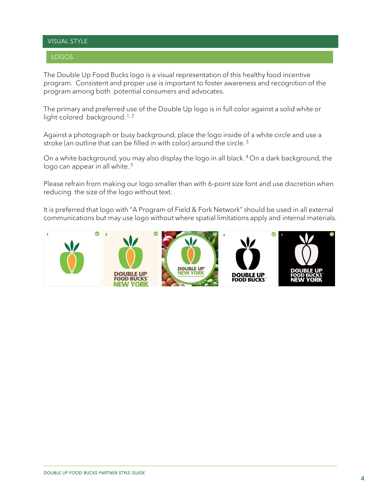# VISUAL STYLE

# LOGOS

The Double Up Food Bucks logo is a visual representation of this healthy food incentive program. Consistent and proper use is important to foster awareness and recognition of the program among both potential consumers and advocates.

The primary and preferred use of the Double Up logo is in full color against a solid white or light-colored background.<sup>1,2</sup>

Against a photograph or busy background, place the logo inside of a white circle and use a stroke (an outline that can be filled in with color) around the circle.<sup>3</sup>

On a white background, you may also display the logo in all black. <sup>4</sup>On a dark background, the logo can appear in all white.<sup>5</sup>

Please refrain from making our logo smaller than with 6-point size font and use discretion when reducing the size of the logo without text.

It is preferred that logo with "A Program of Field & Fork Network" should be used in all external communications but may use logo without where spatial limitations apply and internal materials.

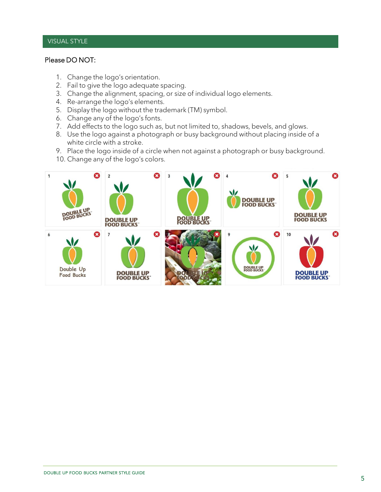# VISUAL STYLE

# Please DO NOT:

- 1. Change the logo's orientation.
- 2. Fail to give the logo adequate spacing.
- 3. Change the alignment, spacing, or size of individual logo elements.
- 4. Re-arrange the logo's elements.
- 5. Display the logo without the trademark (TM) symbol.
- 6. Change any of the logo's fonts.
- 7. Add effects to the logo such as, but not limited to, shadows, bevels, and glows.
- 8. Use the logo against a photograph or busy background without placing inside of a white circle with a stroke.
- 9. Place the logo inside of a circle when not against a photograph or busy background.
- 10. Change any of the logo's colors.

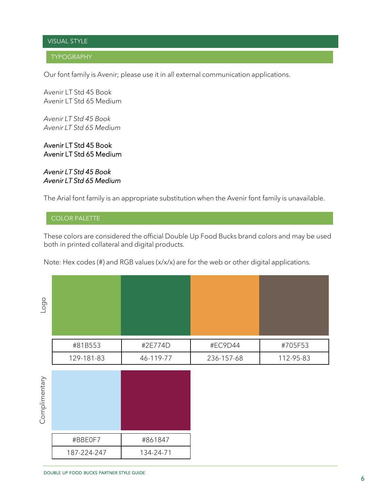# VISUAL STYLE

# TYPOGRAPHY

Our font family is Avenir; please use it in all external communication applications.

Avenir LT Std 45 Book Avenir LT Std 65 Medium

*Avenir LT Std 45 Book Avenir LT Std 65 Medium*

Avenir LT Std 45 Book Avenir LT Std 65 Medium

*Avenir LT Std 45 Book Avenir LT Std 65 Medium*

The Arial font family is an appropriate substitution when the Avenir font family is unavailable.

# COLOR PALETTE

These colors are considered the official Double Up Food Bucks brand colors and may be used both in printed collateral and digital products.

Note: Hex codes (#) and RGB values (x/x/x) are for the web or other digital applications.

| $\circ$<br>Log |            |           |            |           |
|----------------|------------|-----------|------------|-----------|
|                | #81B553    | #2E774D   | #EC9D44    | #705F53   |
|                | 129-181-83 | 46-119-77 | 236-157-68 | 112-95-83 |

| Complimentary |             |           |
|---------------|-------------|-----------|
|               | #BBE0F7     | #861847   |
|               | 187-224-247 | 134-24-71 |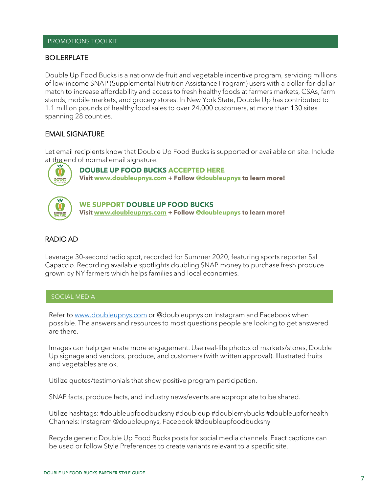#### PROMOTIONS TOOLKIT

#### BOILERPLATE

Double Up Food Bucks is a nationwide fruit and vegetable incentive program, servicing millions of low-income SNAP (Supplemental Nutrition Assistance Program) users with a dollar-for-dollar match to increase affordability and access to fresh healthy foods at farmers markets, CSAs, farm stands, mobile markets, and grocery stores. In New York State, Double Up has contributed to 1.1 million pounds of healthy food sales to over 24,000 customers, at more than 130 sites spanning 28 counties.

# EMAIL SIGNATURE

Let email recipients know that Double Up Food Bucks is supported or available on site. Include at the end of normal email signature.



**DOUBLE UP FOOD BUCKS ACCEPTED HERE Visit www.doubleupnys.com + Follow @doubleupnys to learn more!**



**WE SUPPORT DOUBLE UP FOOD BUCKS Visit www.doubleupnys.com + Follow @doubleupnys to learn more!**

#### RADIO AD

Leverage 30-second radio spot, recorded for Summer 2020, featuring sports reporter Sal Capaccio. Recording available spotlights doubling SNAP money to purchase fresh produce grown by NY farmers which helps families and local economies.

#### SOCIAL MEDIA

Refer to [www.doubleupnys.com](http://www.doubleupnys.com/) or @doubleupnys on Instagram and Facebook when possible. The answers and resources to most questions people are looking to get answered are there.

Images can help generate more engagement. Use real-life photos of markets/stores, Double Up signage and vendors, produce, and customers (with written approval). Illustrated fruits and vegetables are ok.

Utilize quotes/testimonials that show positive program participation.

SNAP facts, produce facts, and industry news/events are appropriate to be shared.

Utilize hashtags: #doubleupfoodbucksny #doubleup #doublemybucks #doubleupforhealth Channels: Instagram @doubleupnys, Facebook @doubleupfoodbucksny

Recycle generic Double Up Food Bucks posts for social media channels. Exact captions can be used or follow Style Preferences to create variants relevant to a specific site.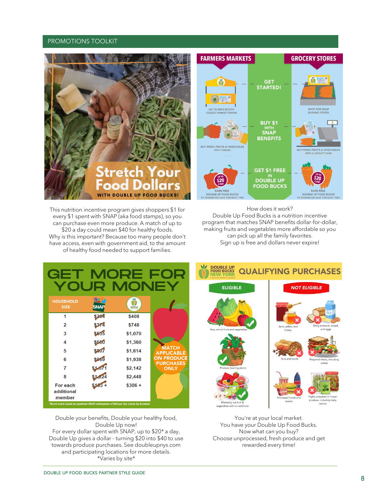#### PROMOTIONS TOOLKIT



This nutrition incentive program gives shoppers \$1 for every \$1 spent with SNAP (aka food stamps), so you can purchase even more produce. A match of up to \$20 a day could mean \$40 for healthy foods. Why is this important? Because too many people don't have access, even with government aid, to the amount of healthy food needed to support families.

How does it work? Double Up Food Bucks is a nutrition incentive program that matches SNAP benefits dollar-for-dollar, making fruits and vegetables more affordable so you can pick up all the family favorites. Sign up is free and dollars never expire!

| GET                                                                                |                             | MORE F<br>OUR MONEY      |                                       |
|------------------------------------------------------------------------------------|-----------------------------|--------------------------|---------------------------------------|
| <b>HOUSEHOLD</b><br><b>SIZE</b>                                                    | <b>IBZ S</b><br><b>SNAP</b> | <b>DOLLAU</b><br>NGC YOM |                                       |
| 1                                                                                  | \$264                       | \$408                    |                                       |
| 2                                                                                  | \$374                       | \$748                    |                                       |
| 3                                                                                  | \$535                       | \$1,070                  |                                       |
| 4                                                                                  | \$680                       | \$1,360                  |                                       |
| 5                                                                                  | \$807                       | \$1,614                  | <b>MATCH</b><br><b>APPLICABLE</b>     |
| 6                                                                                  | \$909                       | \$1,938                  | <b>ON PRODUCE</b><br><b>PURCHASES</b> |
| 7                                                                                  | \$1,071                     | \$2,142                  | <b>ONLY</b>                           |
| 8                                                                                  | \$1,224                     | \$2,448                  |                                       |
| For each                                                                           |                             | $$306 +$                 |                                       |
| additional                                                                         |                             |                          |                                       |
| member                                                                             |                             |                          |                                       |
| *Exact match based on maximum SNAP redemption of \$20 per day (varies by location) |                             |                          |                                       |

Double your benefits, Double your healthy food, Double Up now! For every dollar spent with SNAP, up to \$20\* a day, Double Up gives a dollar - turning \$20 into \$40 to use towards produce purchases. See doubleupnys.com and participating locations for more details. \*Varies by site\*



You're at your local market. You have your Double Up Food Bucks. Now what can you buy? Choose unprocessed, fresh produce and get rewarded every time!

#### DOUBLE UP FOOD BUCKS PARTNER STYLE GUIDE